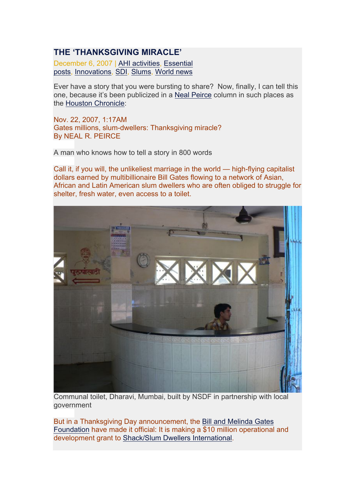## **THE 'THANKSGIVING MIRACLE'**

December 6, 2007 | AHI activities, Essential posts, Innovations, SDI, Slums, World news

Ever have a story that you were bursting to share? Now, finally, I can tell this one, because it's been publicized in a Neal Peirce column in such places as the Houston Chronicle:

Nov. 22, 2007, 1:17AM Gates millions, slum-dwellers: Thanksgiving miracle? By NEAL R. PEIRCE

A man who knows how to tell a story in 800 words

Call it, if you will, the unlikeliest marriage in the world — high-flying capitalist dollars earned by multibillionaire Bill Gates flowing to a network of Asian, African and Latin American slum dwellers who are often obliged to struggle for shelter, fresh water, even access to a toilet.



Communal toilet, Dharavi, Mumbai, built by NSDF in partnership with local government

But in a Thanksgiving Day announcement, the Bill and Melinda Gates Foundation have made it official: It is making a \$10 million operational and development grant to Shack/Slum Dwellers International.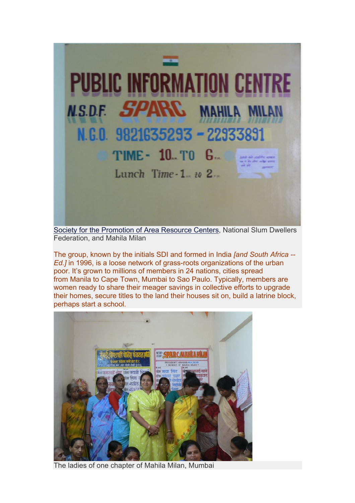

Society for the Promotion of Area Resource Centers, National Slum Dwellers Federation, and Mahila Milan

The group, known by the initials SDI and formed in India *[and South Africa -- Ed.]* in 1996, is a loose network of grass-roots organizations of the urban poor. It's grown to millions of members in 24 nations, cities spread from Manila to Cape Town, Mumbai to Sao Paulo. Typically, members are women ready to share their meager savings in collective efforts to upgrade their homes, secure titles to the land their houses sit on, build a latrine block, perhaps start a school.



The ladies of one chapter of Mahila Milan, Mumbai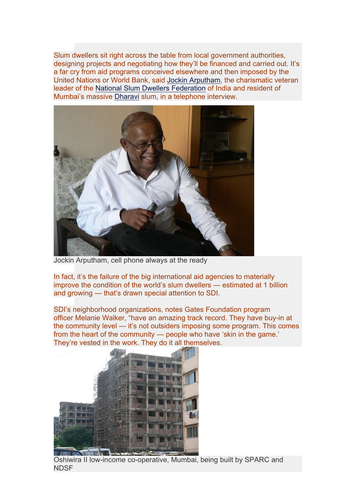Slum dwellers sit right across the table from local government authorities, designing projects and negotiating how they'll be financed and carried out. It's a far cry from aid programs conceived elsewhere and then imposed by the United Nations or World Bank, said Jockin Arputham, the charismatic veteran leader of the National Slum Dwellers Federation of India and resident of Mumbai's massive Dharavi slum, in a telephone interview.



Jockin Arputham, cell phone always at the ready

In fact, it's the failure of the big international aid agencies to materially improve the condition of the world's slum dwellers — estimated at 1 billion and growing — that's drawn special attention to SDI.

SDI's neighborhood organizations, notes Gates Foundation program officer Melanie Walker, "have an amazing track record. They have buy-in at the community level — it's not outsiders imposing some program. This comes from the heart of the community — people who have 'skin in the game.' They're vested in the work. They do it all themselves.



Oshiwira II low-income co-operative, Mumbai, being built by SPARC and **NDSF**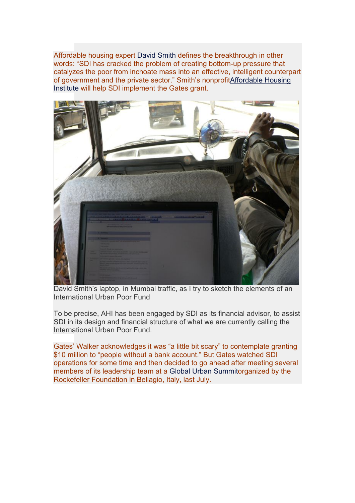Affordable housing expert David Smith defines the breakthrough in other words: "SDI has cracked the problem of creating bottom-up pressure that catalyzes the poor from inchoate mass into an effective, intelligent counterpart of government and the private sector." Smith's nonprofitAffordable Housing Institute will help SDI implement the Gates grant.



David Smith's laptop, in Mumbai traffic, as I try to sketch the elements of an International Urban Poor Fund

To be precise, AHI has been engaged by SDI as its financial advisor, to assist SDI in its design and financial structure of what we are currently calling the International Urban Poor Fund.

Gates' Walker acknowledges it was "a little bit scary" to contemplate granting \$10 million to "people without a bank account." But Gates watched SDI operations for some time and then decided to go ahead after meeting several members of its leadership team at a Global Urban Summitorganized by the Rockefeller Foundation in Bellagio, Italy, last July.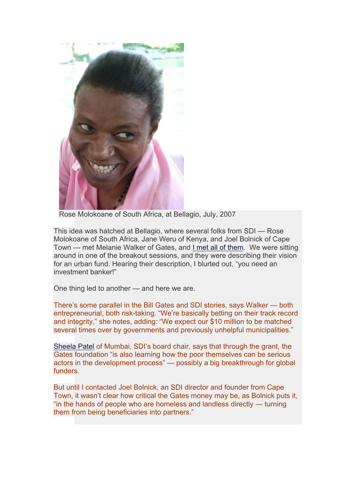

Rose Molokoane of South Africa, at Bellagio, July, 2007

This idea was hatched at Bellagio, where several folks from SDI — Rose Molokoane of South Africa, Jane Weru of Kenya, and Joel Bolnick of Cape Town — met Melanie Walker of Gates, and I met all of them. We were sitting around in one of the breakout sessions, and they were describing their vision for an urban fund. Hearing their description, I blurted out, "you need an investment banker!"

One thing led to another — and here we are.

There's some parallel in the Bill Gates and SDI stories, says Walker — both entrepreneurial, both risk-taking. "We're basically betting on their track record and integrity," she notes, adding: "We expect our \$10 million to be matched several times over by governments and previously unhelpful municipalities."

Sheela Patel of Mumbai, SDI's board chair, says that through the grant, the Gates foundation "is also learning how the poor themselves can be serious actors in the development process" — possibly a big breakthrough for global funders.

But until I contacted Joel Bolnick, an SDI director and founder from Cape Town, it wasn't clear how critical the Gates money may be, as Bolnick puts it, "in the hands of people who are homeless and landless directly — turning them from being beneficiaries into partners."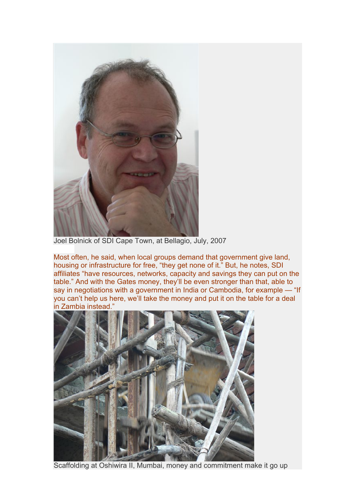

Joel Bolnick of SDI Cape Town, at Bellagio, July, 2007

Most often, he said, when local groups demand that government give land, housing or infrastructure for free, "they get none of it." But, he notes, SDI affiliates "have resources, networks, capacity and savings they can put on the table." And with the Gates money, they'll be even stronger than that, able to say in negotiations with a government in India or Cambodia, for example — "If you can't help us here, we'll take the money and put it on the table for a deal in Zambia instead."



Scaffolding at Oshiwira II, Mumbai, money and commitment make it go up